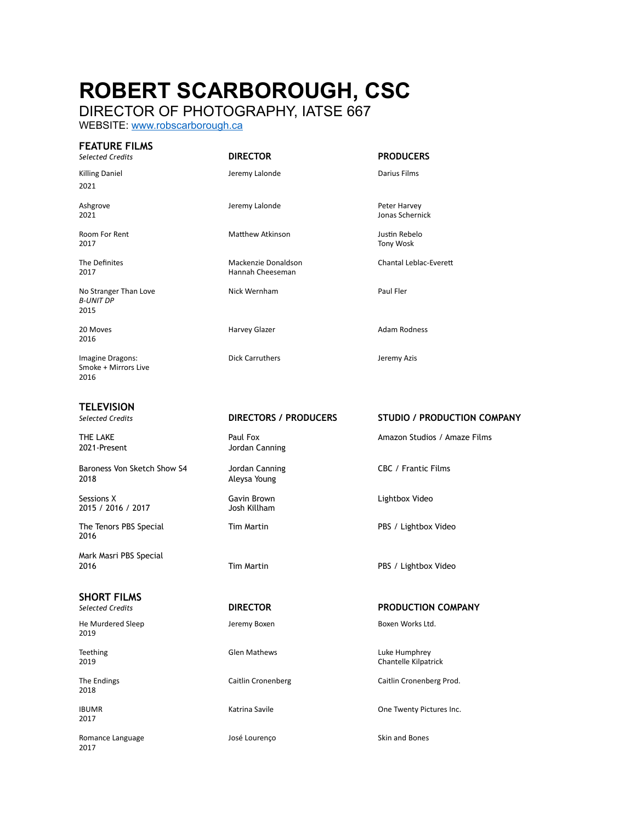# **ROBERT SCARBOROUGH, CSC**

DIRECTOR OF PHOTOGRAPHY, IATSE 667

WEBSITE: [www.robscarborough.ca](http://www.robscarborough.ca)

## **FEATURE FILMS**

*Selected Credits* **DIRECTOR PRODUCERS**

Hannah Cheeseman

Killing Daniel **Games Communist Communist Communist Communist Communist Communist Communist Communist Communist Communist Communist Communist Communist Communist Communist Communist Communist Communist Communist Communist** 

Ashgrove Jeremy Lalonde Peter Harvey Jonas Schernick

Room For Rent **Matthew Atkinson** Matthew Atkinson and Matthew Atkinson and Muslim Rebelo<br>
2017 Tony Wosk 2017 Tony Wosk

The Definites Mackenzie Donaldson Chantal Leblac-EvereB

20 Moves **Harvey Glazer Adam Rodness** Harvey Glazer **Adam Rodness** 

2021-Present Jordan Canning

### *Selected Credits* **DIRECTORS / PRODUCERS STUDIO / PRODUCTION COMPANY**

THE LAKE **Amazon Studios / Amazon Studios / Amaze Films** Paul Fox **Amazon Studios / Amaze Films** 

## *Selected Credits* **DIRECTOR PRODUCTION COMPANY**

Teething Clem Mathews Glen Mathews Luke Humphrey 2019 Chantelle Kilpatrick

The Endings Caitlin Cronenberg Caitlin Cronenberg Prod.

IBUMR **IBUMR** CONSECTED MATRING A MATRING Savile Contract Contract One Twenty Pictures Inc.

2021

No Stranger Than Love **Nick Wernham** Paul Fler *B-UNIT DP*

2015 2016

Imagine Dragons: The Carruthers Contract Contract of the Carruthers of the Carruthers of the United States of the United States of the United States of the United States of the United States of the United States of the Uni Smoke + Mirrors Live 2016

## **TELEVISION**

Baroness Von Sketch Show S4 Jordan Canning CBC / Frantic Films 2018 Aleysa Young

Sessions X Gavin Brown Lightbox Video 2015 / 2016 / 2017

The Tenors PBS Special Tim Martin Tim Martin PBS / Lightbox Video 2016

Mark Masri PBS Special 2016 Tim Martin PBS / Lightbox Video

**SHORT FILMS**

He Murdered Sleep **Jeremy Boxen** Jeremy Boxen **Jeremy Boxen Boxen Works Ltd.** 2019

2018

2017

Romance Language The School and Bones José Lourenço Skin and Bones 2017